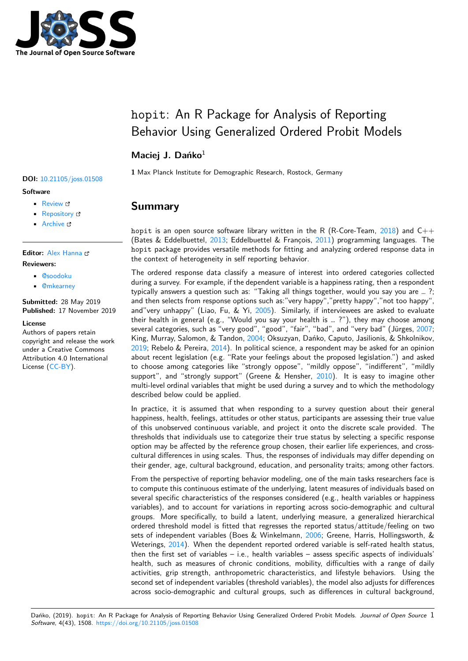

# hopit: An R Package for Analysis of Reporting Behavior Using Generalized Ordered Probit Models

### **Maciej J. Dańko**<sup>1</sup>

**DOI:** 10.21105/joss.01508

#### **Software**

- Review &
- [Repository](https://doi.org/10.21105/joss.01508) &
- Archive

#### **Editor:** [Alex Han](https://github.com/MaciejDanko/hopit)na

#### **Revie[wers:](https://doi.org/10.5281/zenodo.3530634)**

- @soodoku
- @[mkearney](http://alex-hanna.com)

**Submitted:** 28 May 2019 **Publi[shed:](https://github.com/soodoku)** 17 November 2019

#### **Licen[se](https://github.com/mkearney)**

Authors of papers retain copyright and release the work under a Creative Commons Attribution 4.0 International License (CC-BY).

#### **1** Max Planck Institute for Demographic Research, Rostock, Germany

# **Summary**

hopit is an open source software library written in the R (R-Core-Team, 2018) and  $C_{++}$ (Bates & Eddelbuettel, 2013; Eddelbuettel & Francois, 2011) programming languages. The hopit package provides versatile methods for fitting and analyzing ordered response data in the context of heterogeneity in self reporting behavior.

The ordered response data classify a measure of interest into ordered cat[egorie](#page-4-0)s collected during a survey. For exa[mple,](#page-4-1) if the dependent variable is [a hap](#page-4-2)piness rating, then a respondent typically answers a question such as: "Taking all things together, would you say you are … ?; and then selects from response options such as:"very happy","pretty happy","not too happy", and"very unhappy" (Liao, Fu,  $&$  Yi, 2005). Similarly, if interviewees are asked to evaluate their health in general (e.g., "Would you say your health is … ?"), they may choose among several categories, such as "very good", "good", "fair", "bad", and "very bad" (Jürges, 2007; King, Murray, Salomon, & Tandon, 2004; Oksuzyan, Dańko, Caputo, Jasilionis, & Shkolnikov,  $2019$ ; Rebelo & Pereira,  $2014$ ). In pol[itical](#page-4-3) science, a respondent may be asked for an opinion about recent legislation (e.g. "Rate your feelings about the proposed legislation.") and asked to choose among categories like "strongly oppose", "mildly oppose", "indifferent", "[mildly](#page-4-4) support", and "strongly support" [\(Gree](#page-4-5)ne  $&$  Hensher,  $2010$ ). It is easy to imagine other [multi](#page-4-6)-level ordinal variab[les th](#page-4-7)at might be used during a survey and to which the methodology described below could be applied.

In practice, it is assumed that when responding to a survey question about their general happiness, health, feelings, attitudes or other status, part[icipan](#page-4-8)ts are assessing their true value of this unobserved continuous variable, and project it onto the discrete scale provided. The thresholds that individuals use to categorize their true status by selecting a specific response option may be affected by the reference group chosen, their earlier life experiences, and crosscultural differences in using scales. Thus, the responses of individuals may differ depending on their gender, age, cultural background, education, and personality traits; among other factors.

From the perspective of reporting behavior modeling, one of the main tasks researchers face is to compute this continuous estimate of the underlying, latent measures of individuals based on several specific characteristics of the responses considered (e.g., health variables or happiness variables), and to account for variations in reporting across socio-demographic and cultural groups. More specifically, to build a latent, underlying measure, a generalized hierarchical ordered threshold model is fitted that regresses the reported status/attitude/feeling on two sets of independent variables (Boes & Winkelmann, 2006; Greene, Harris, Hollingsworth, & Weterings, 2014). When the dependent reported ordered variable is self-rated health status, then the first set of variables  $-$  i.e., health variables  $-$  assess specific aspects of individuals' health, such as measures of chronic conditions, mobility, difficulties with a range of daily activities, grip strength, anthropometric characteris[tics, a](#page-4-9)nd lifestyle behaviors. Using the second set [of ind](#page-4-10)ependent variables (threshold variables), the model also adjusts for differences across socio-demographic and cultural groups, such as differences in cultural background,

Dańko, (2019). hopit: An R Package for Analysis of Reporting Behavior Using Generalized Ordered Probit Models. *Journal of Open Source* 1*Software*, 4(43), 1508. https://doi.org/10.21105/joss.01508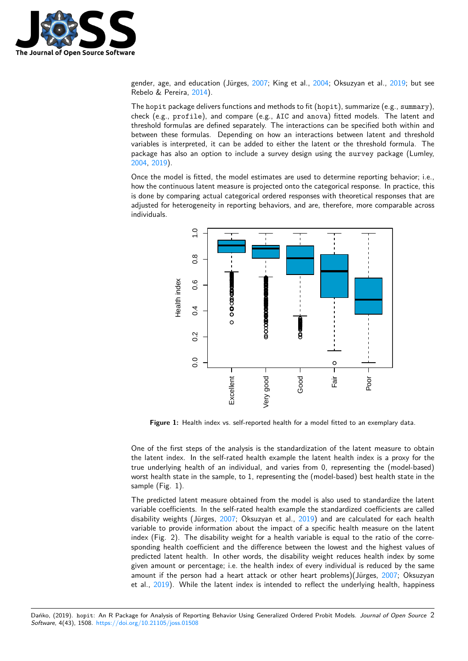

gender, age, and education (Jürges, 2007; King et al., 2004; Oksuzyan et al., 2019; but see Rebelo & Pereira, 2014).

The hopit package delivers functions and methods to fit (hopit), summarize (e.g., summary), check (e.g., profile), and compare (e.g., AIC and anova) fitted models. The latent and threshold formulas are defined separ[ately.](#page-4-4) The interact[ions c](#page-4-5)an be specified b[oth wi](#page-4-6)thin and between these for[mulas](#page-4-7). Depending on how an interactions between latent and threshold variables is interpreted, it can be added to either the latent or the threshold formula. The package has also an option to include a survey design using the survey package (Lumley, 2004, 2019).

Once the model is fitted, the model estimates are used to determine reporting behavior; i.e., how the continuous latent measure is projected onto the categorical response. In practice, this is done by comparing actual categorical ordered responses with theoretical responses that are [adjus](#page-4-11)t[ed for](#page-4-12) heterogeneity in reporting behaviors, and are, therefore, more comparable across individuals.



**Figure 1:** Health index vs. self-reported health for a model fitted to an exemplary data.

One of the first steps of the analysis is the standardization of the latent measure to obtain the latent index. In the self-rated health example the latent health index is a proxy for the true underlying health of an individual, and varies from 0, representing the (model-based) worst health state in the sample, to 1, representing the (model-based) best health state in the sample (Fig. 1).

The predicted latent measure obtained from the model is also used to standardize the latent variable coefficients. In the self-rated health example the standardized coefficients are called disability weights (Jürges, 2007; Oksuzyan et al., 2019) and are calculated for each health variable to provide information about the impact of a specific health measure on the latent index (Fig. 2). The disability weight for a health variable is equal to the ratio of the corresponding health coefficient and the difference between the lowest and the highest values of predicted latent health. In [othe](#page-4-4)r words, the disab[ility w](#page-4-6)eight reduces health index by some given amount or percentage; i.e. the health index of every individual is reduced by the same amount if the person had a heart attack or other heart problems)(Jürges, 2007; Oksuzyan et al., 2019). While the latent index is intended to reflect the underlying health, happiness

Dańko, (2019). hopit: An R Package for Analysis of Reporting Behavior Using Generalized Ordered Probit Models. *Journal [of Op](#page-4-4)en Source* 2*Software*, 4(43), 1508. https://doi.org/10.2[1105/](#page-4-6)joss.01508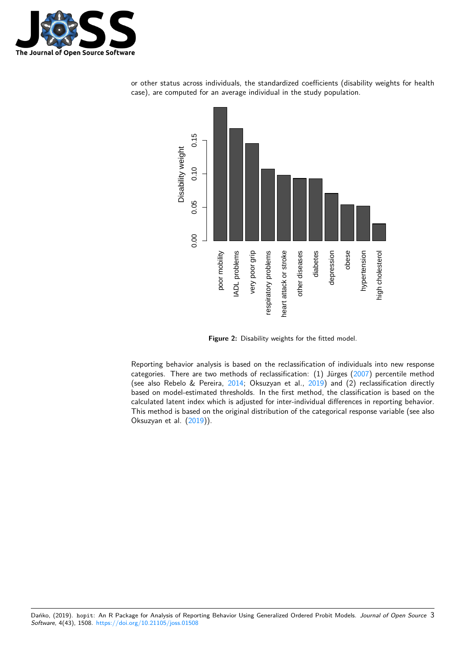



or other status across individuals, the standardized coefficients (disability weights for health case), are computed for an average individual in the study population.

**Figure 2:** Disability weights for the fitted model.

Reporting behavior analysis is based on the reclassification of individuals into new response categories. There are two methods of reclassification: (1) Jürges (2007) percentile method (see also Rebelo & Pereira, 2014; Oksuzyan et al., 2019) and (2) reclassification directly based on model-estimated thresholds. In the first method, the classification is based on the calculated latent index which is adjusted for inter-individual differences in reporting behavior. This method is based on the original distribution of the categorical r[espon](#page-4-4)se variable (see also Oksuzyan et al. (2019)).

Dańko, (2019). hopit: An R Package for Analysis of Reporting Behavior Using Generalized Ordered Probit Models. *Journal of Open Source* 3*Software*, 4(43), 1508. https://doi.org/10.21105/joss.01508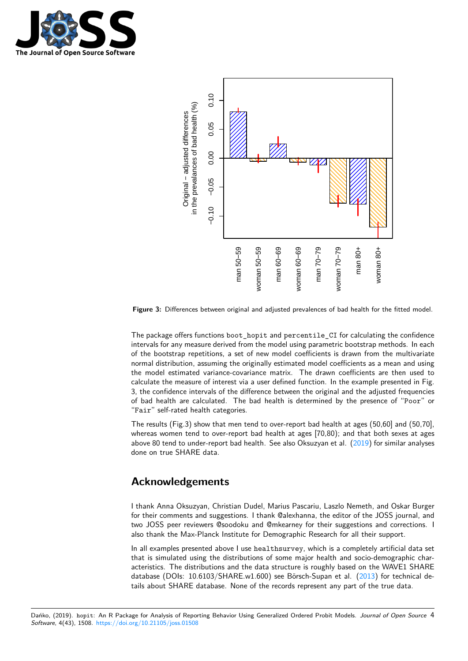



**Figure 3:** Differences between original and adjusted prevalences of bad health for the fitted model.

The package offers functions boot hopit and percentile CI for calculating the confidence intervals for any measure derived from the model using parametric bootstrap methods. In each of the bootstrap repetitions, a set of new model coefficients is drawn from the multivariate normal distribution, assuming the originally estimated model coefficients as a mean and using the model estimated variance-covariance matrix. The drawn coefficients are then used to calculate the measure of interest via a user defined function. In the example presented in Fig. 3, the confidence intervals of the difference between the original and the adjusted frequencies of bad health are calculated. The bad health is determined by the presence of "Poor" or "Fair" self-rated health categories.

The results (Fig.3) show that men tend to over-report bad health at ages (50,60] and (50,70], whereas women tend to over-report bad health at ages [70,80); and that both sexes at ages above 80 tend to under-report bad health. See also Oksuzyan et al. (2019) for similar analyses done on true SHARE data.

### **Acknowledgements**

I thank Anna Oksuzyan, Christian Dudel, Marius Pascariu, Laszlo Nemeth, and Oskar Burger for their comments and suggestions. I thank @alexhanna, the editor of the JOSS journal, and two JOSS peer reviewers @soodoku and @mkearney for their suggestions and corrections. I also thank the Max-Planck Institute for Demographic Research for all their support.

In all examples presented above I use healthsurvey, which is a completely artificial data set that is simulated using the distributions of some major health and socio-demographic characteristics. The distributions and the data structure is roughly based on the WAVE1 SHARE database (DOIs: 10.6103/SHARE.w1.600) see Börsch-Supan et al. (2013) for technical details about SHARE database. None of the records represent any part of the true data.